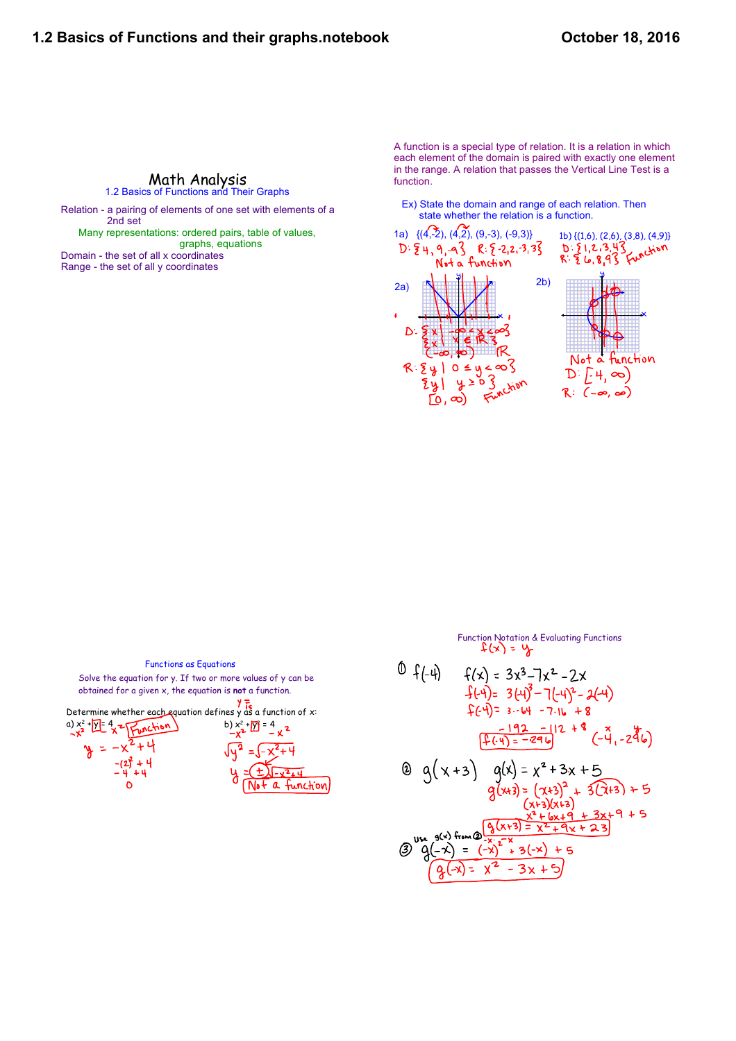## Math Analysis<br>1.2 Basics of Functions and Their Graphs

Relation - a pairing of elements of one set with elements of a 2nd set Many representations: ordered pairs, table of values,

 graphs, equations Domain - the set of all x coordinates

Range - the set of all y coordinates

A function is a special type of relation. It is a relation in which each element of the domain is paired with exactly one element in the range. A relation that passes the Vertical Line Test is a function.

Ex) State the domain and range of each relation. Then state whether the relation is a function.



| <b>Functions as Equations</b>                                 |  |  |
|---------------------------------------------------------------|--|--|
| Solve the equation for y. If two or more values of y can be   |  |  |
| obtained for a given x, the equation is not a function.       |  |  |
| Determine whether each equation defines y as a function of x: |  |  |
|                                                               |  |  |
|                                                               |  |  |
|                                                               |  |  |
|                                                               |  |  |

Function Notation & Evaluating Functions<br> $f(x) = y$ 

0 
$$
f(-4)
$$
  $f(x) = 3x^{3}-7x^{2}-2x$   
\n $f(-4)= 3(4)^{3}-7(-4)^{2}-2(4)$   
\n $f(-4)= 3-64-7-16-8$   
\n $f(-4)= 3-64-7-16-8$   
\n $\frac{-192}{[2(4)]^{2}-296}$   
\n $\frac{-192}{[2(4)]^{2}-296}$   
\n $g(x+3)$   $g(x) = x^{2}+3x+5$   
\n $g(x+3)=(x+3)^{2}+3(2+3)+5$   
\n $(x+3)(x+3)$ 

$$
(x+3)(x+9) + 3x+9 + 5
$$
\n
$$
(x+9)(x+9) = x^2 + 9x + 23
$$
\n
$$
(x+9)(x+9) = x^2 + 9x + 23
$$
\n
$$
(x+9)(x+9) = x^2 + 12x + 23
$$
\n
$$
(x+9)(x+9) = x^2 + 12x + 9
$$
\n
$$
(x+9)(x+9) = x^2 + 12x + 9
$$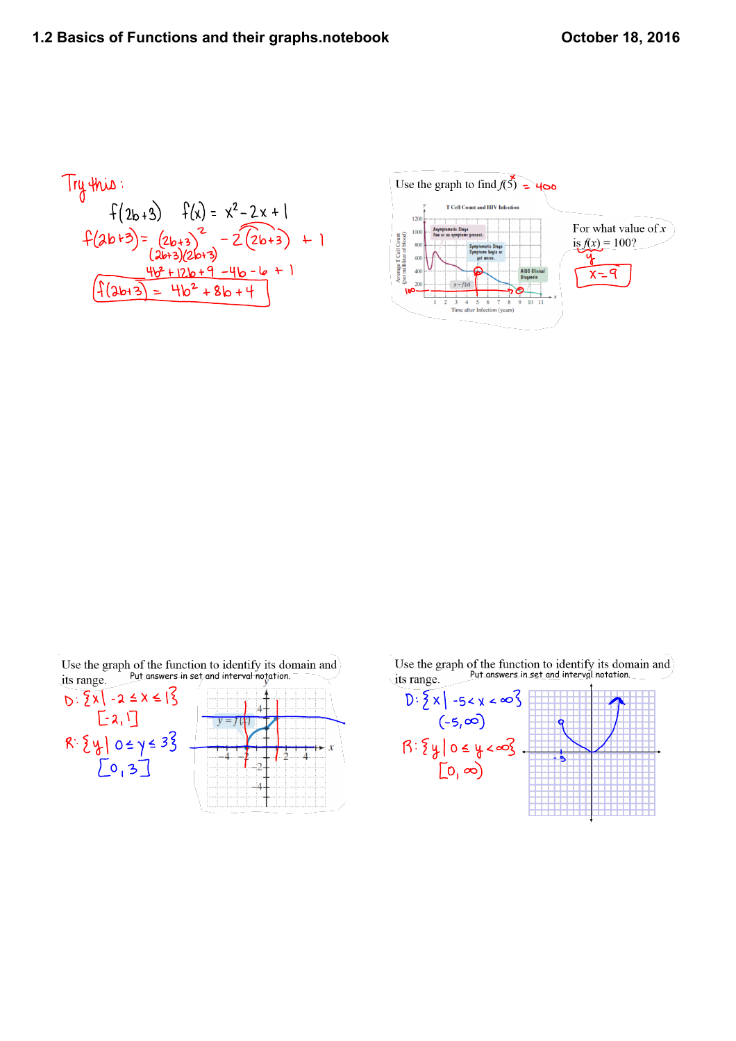Try this:  
\n
$$
f(2b+3) = x^{2}-2x+1
$$
\n
$$
f(2b+3) = (2b+3)^{2} - 2(2b+3) + 1
$$
\n
$$
\frac{4b^{2}+12b+9-4b-6}{4(3b+3)(2b+3)} + 1
$$
\n
$$
f(3b+3) = 4b^{2}+8b+4
$$



| its range.                  | Use the graph of the function to identify its domain and<br>its range Put answers in set and interval notation. | Use the graph of the function to identify its domain<br>its range Put answers in set and interval notation.<br>its range. |
|-----------------------------|-----------------------------------------------------------------------------------------------------------------|---------------------------------------------------------------------------------------------------------------------------|
| $.22 \times 1$<br>$1 - 2.3$ |                                                                                                                 | $-5 < x < \infty$<br>(-5,ထါ<br>,∞<br>$\infty$                                                                             |